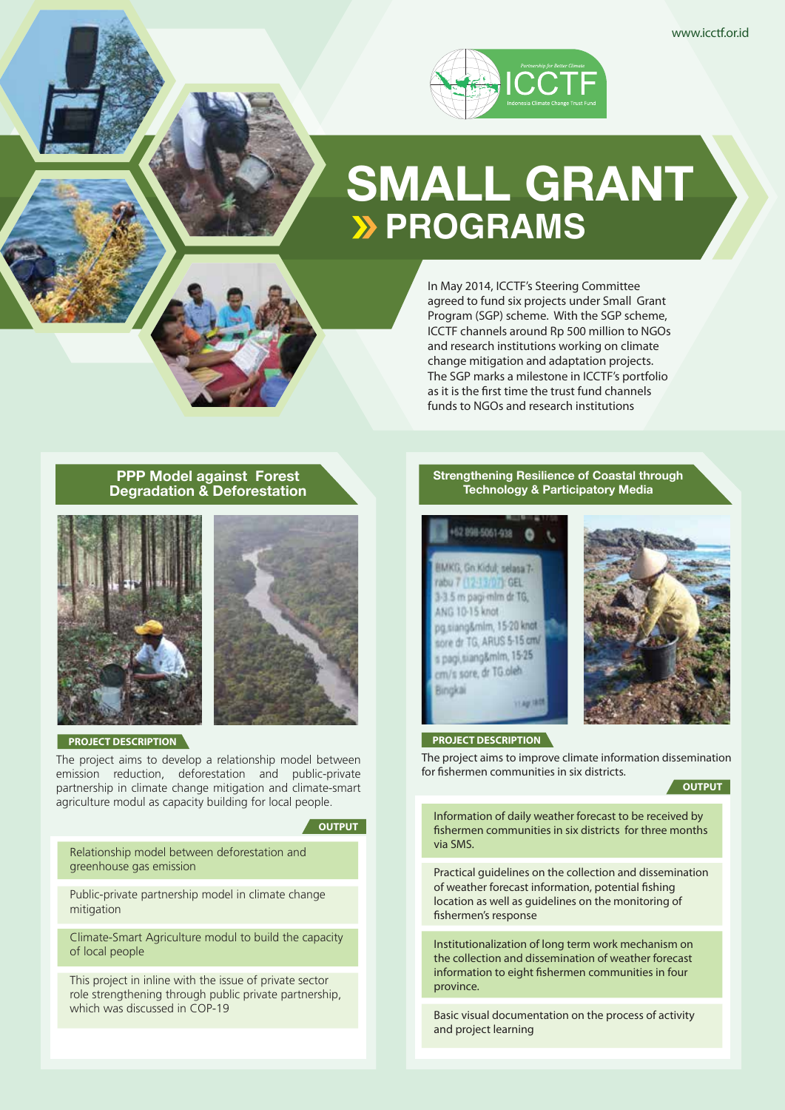

# **SMALL GRANT PROGRAMS**

In May 2014, ICCTF's Steering Committee agreed to fund six projects under Small Grant Program (SGP) scheme. With the SGP scheme, ICCTF channels around Rp 500 million to NGOs and research institutions working on climate change mitigation and adaptation projects. The SGP marks a milestone in ICCTF's portfolio as it is the first time the trust fund channels funds to NGOs and research institutions

# **PPP Model against Forest Degradation & Deforestation**





**PROJECT DESCRIPTION**

The project aims to develop a relationship model between emission reduction, deforestation and public-private partnership in climate change mitigation and climate-smart agriculture modul as capacity building for local people.

#### **A** OUTPUT

Relationship model between deforestation and greenhouse gas emission

Public-private partnership model in climate change mitigation

Climate-Smart Agriculture modul to build the capacity of local people

This project in inline with the issue of private sector role strengthening through public private partnership, which was discussed in COP-19

## **Strengthening Resilience of Coastal through Technology & Participatory Media**





## **PROJECT DESCRIPTION**

The project aims to improve climate information dissemination for fishermen communities in six districts.

#### **OUTPUT**

Information of daily weather forecast to be received by fishermen communities in six districts for three months via SMS.

Practical guidelines on the collection and dissemination of weather forecast information, potential fishing location as well as guidelines on the monitoring of fishermen's response

Institutionalization of long term work mechanism on the collection and dissemination of weather forecast information to eight fishermen communities in four province.

Basic visual documentation on the process of activity and project learning